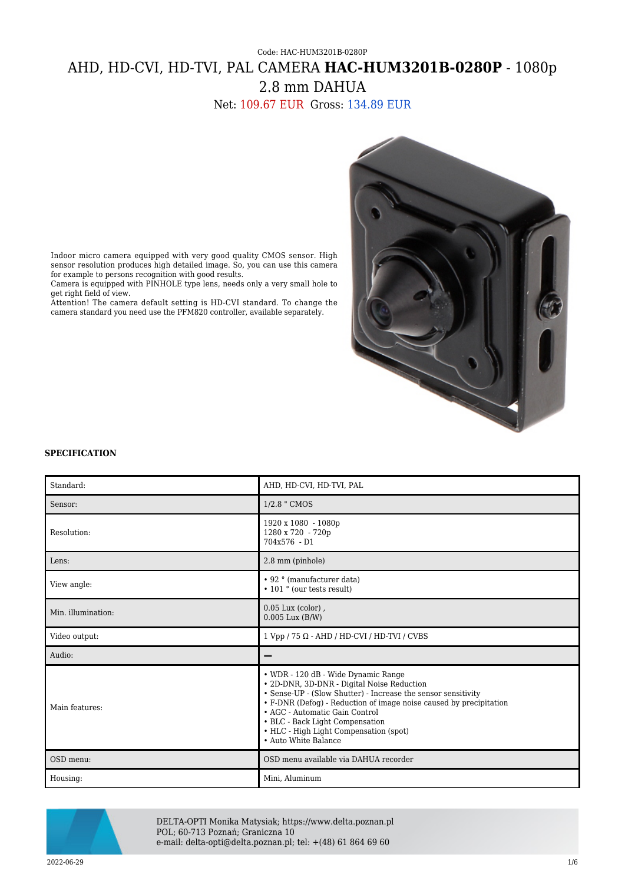# Code: HAC-HUM3201B-0280P AHD, HD-CVI, HD-TVI, PAL CAMERA **HAC-HUM3201B-0280P** - 1080p 2.8 mm DAHUA

Net: 109.67 EUR Gross: 134.89 EUR



Indoor micro camera equipped with very good quality CMOS sensor. High sensor resolution produces high detailed image. So, you can use this camera for example to persons recognition with good results.

Camera is equipped with PINHOLE type lens, needs only a very small hole to get right field of view.

Attention! The camera default setting is HD-CVI standard. To change the camera standard you need use the PFM820 controller, available separately.

### **SPECIFICATION**

| Standard:          | AHD, HD-CVI, HD-TVI, PAL                                                                                                                                                                                                                                                                                                                                        |
|--------------------|-----------------------------------------------------------------------------------------------------------------------------------------------------------------------------------------------------------------------------------------------------------------------------------------------------------------------------------------------------------------|
| Sensor:            | 1/2.8 " CMOS                                                                                                                                                                                                                                                                                                                                                    |
| Resolution:        | 1920 x 1080 - 1080p<br>1280 x 720 - 720p<br>$704x576 - D1$                                                                                                                                                                                                                                                                                                      |
| Lens:              | 2.8 mm (pinhole)                                                                                                                                                                                                                                                                                                                                                |
| View angle:        | • 92 ° (manufacturer data)<br>• 101 ° (our tests result)                                                                                                                                                                                                                                                                                                        |
| Min. illumination: | $0.05$ Lux (color),<br>$0.005$ Lux $(B/W)$                                                                                                                                                                                                                                                                                                                      |
| Video output:      | $1 Vpp / 75 \Omega - AHD / HD-CVI / HD-TVI / CVBS$                                                                                                                                                                                                                                                                                                              |
| Audio:             |                                                                                                                                                                                                                                                                                                                                                                 |
| Main features:     | • WDR - 120 dB - Wide Dynamic Range<br>• 2D-DNR, 3D-DNR - Digital Noise Reduction<br>• Sense-UP - (Slow Shutter) - Increase the sensor sensitivity<br>• F-DNR (Defog) - Reduction of image noise caused by precipitation<br>• AGC - Automatic Gain Control<br>• BLC - Back Light Compensation<br>• HLC - High Light Compensation (spot)<br>• Auto White Balance |
| OSD menu:          | OSD menu available via DAHUA recorder                                                                                                                                                                                                                                                                                                                           |
| Housing:           | Mini, Aluminum                                                                                                                                                                                                                                                                                                                                                  |



DELTA-OPTI Monika Matysiak; https://www.delta.poznan.pl POL; 60-713 Poznań; Graniczna 10 e-mail: delta-opti@delta.poznan.pl; tel: +(48) 61 864 69 60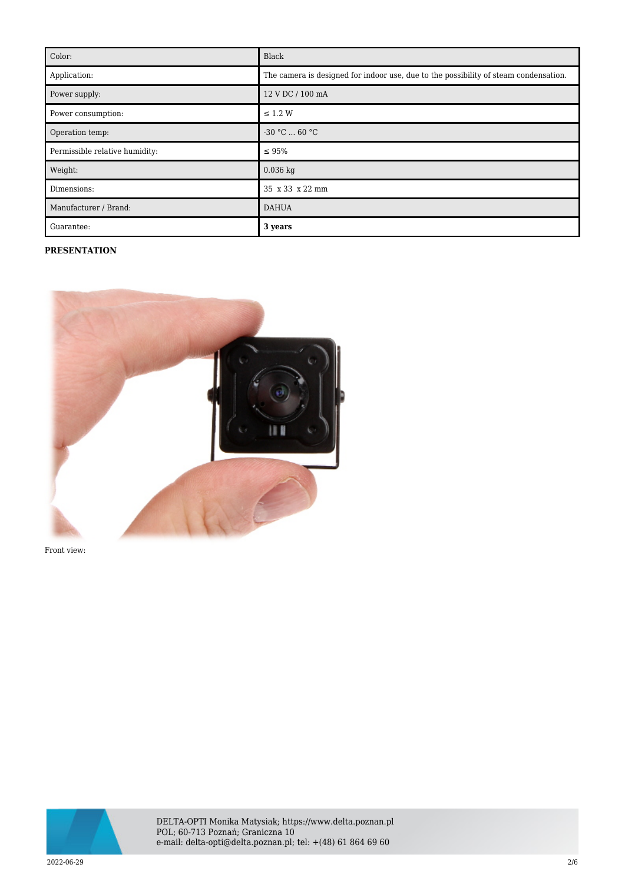| Color:                         | Black                                                                                |
|--------------------------------|--------------------------------------------------------------------------------------|
| Application:                   | The camera is designed for indoor use, due to the possibility of steam condensation. |
| Power supply:                  | 12 V DC / 100 mA                                                                     |
| Power consumption:             | $\leq$ 1.2 W                                                                         |
| Operation temp:                | $-30 °C  60 °C$                                                                      |
| Permissible relative humidity: | $\leq 95\%$                                                                          |
| Weight:                        | $0.036$ kg                                                                           |
| Dimensions:                    | 35 x 33 x 22 mm                                                                      |
| Manufacturer / Brand:          | <b>DAHUA</b>                                                                         |
| Guarantee:                     | 3 years                                                                              |

## **PRESENTATION**



Front view:



DELTA-OPTI Monika Matysiak; https://www.delta.poznan.pl POL; 60-713 Poznań; Graniczna 10 e-mail: delta-opti@delta.poznan.pl; tel: +(48) 61 864 69 60

2022-06-29 2/6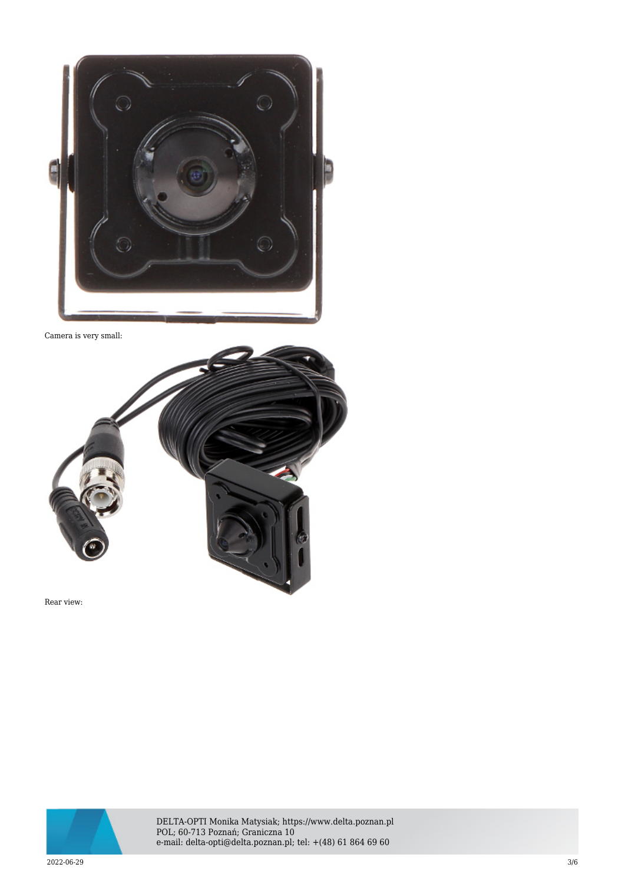

Camera is very small:



Rear view:



DELTA-OPTI Monika Matysiak; https://www.delta.poznan.pl POL; 60-713 Poznań; Graniczna 10 e-mail: delta-opti@delta.poznan.pl; tel: +(48) 61 864 69 60

 $2022{\cdot}06{\cdot}29$   $3/6$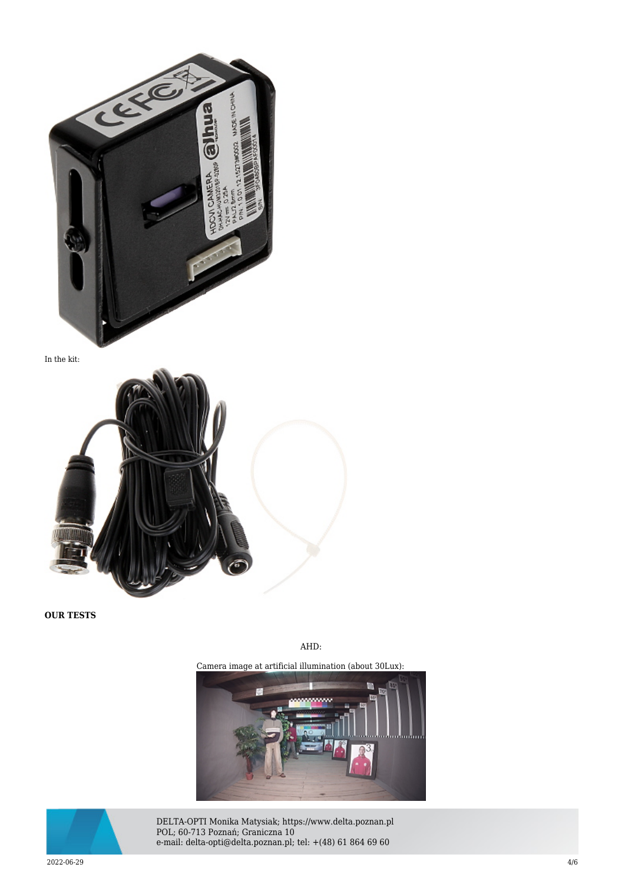

In the kit:



**OUR TESTS**

AHD:

Camera image at artificial illumination (about 30Lux):





DELTA-OPTI Monika Matysiak; https://www.delta.poznan.pl POL; 60-713 Poznań; Graniczna 10 e-mail: delta-opti@delta.poznan.pl; tel: +(48) 61 864 69 60

 $2022{\cdot}06{\cdot}29$  and the set of the set of the set of the set of the set of the set of the set of the set of the set of the set of the set of the set of the set of the set of the set of the set of the set of the set of th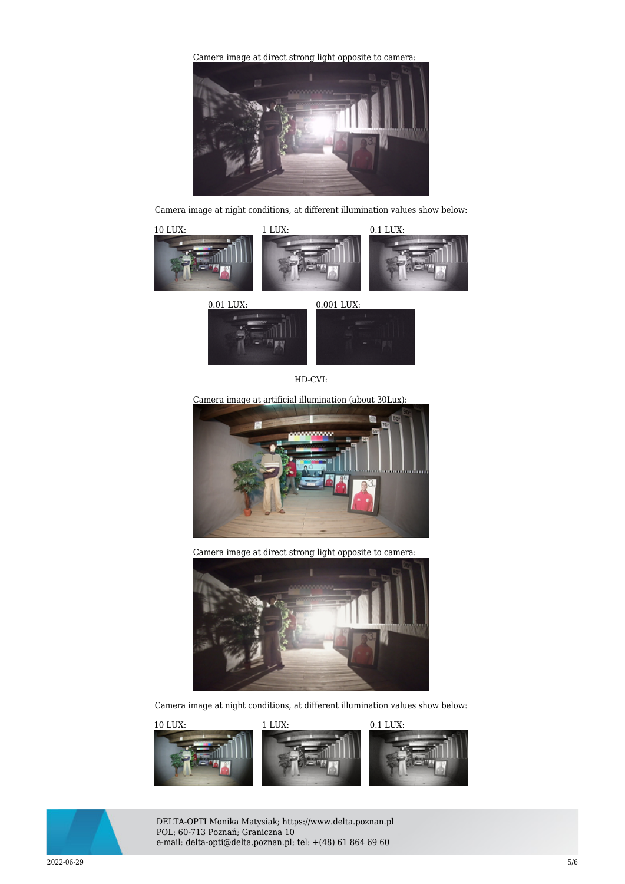[Camera image at direct strong light opposite to camera:](https://sklep.delta.poznan.pl/obrazki1/dh-hac-hum3201bp-028_ahd_img11_d.jpg) 



Camera image at night conditions, at different illumination values show below:





HD-CVI:

Camera image at artificial illumination (about 30Lux):



Camera image at direct strong light opposite to camera:



Camera image at night conditions, at different illumination values show below:





DELTA-OPTI Monika Matysiak; https://www.delta.poznan.pl POL; 60-713 Poznań; Graniczna 10 e-mail: delta-opti@delta.poznan.pl; tel: +(48) 61 864 69 60

 $2022{\cdot}06{\cdot}29$   $5/6$